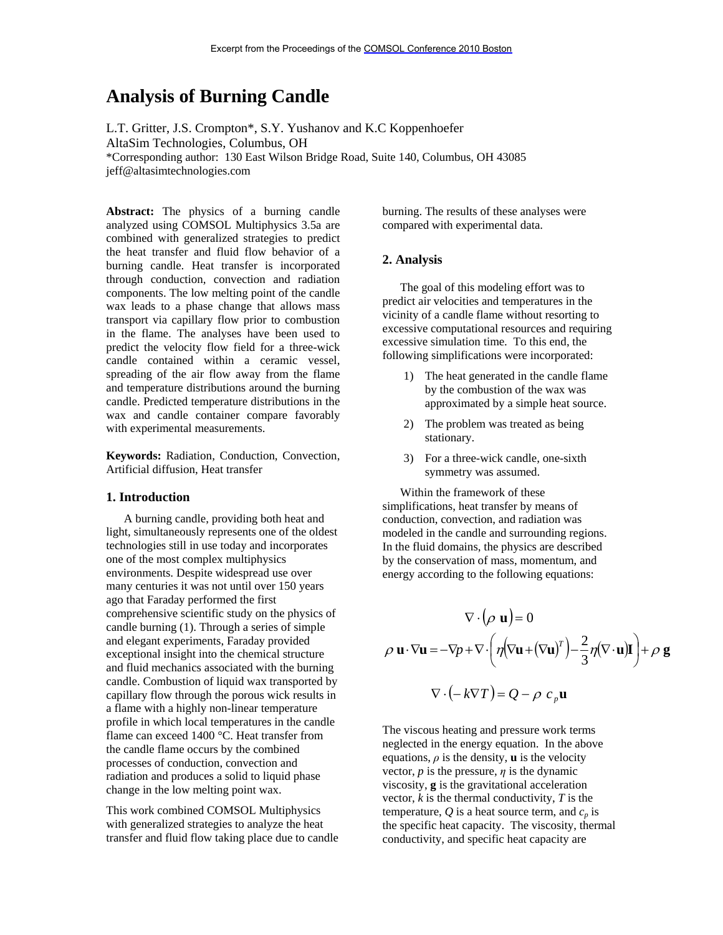# **Analysis of Burning Candle**

L.T. Gritter, J.S. Crompton\*, S.Y. Yushanov and K.C Koppenhoefer AltaSim Technologies, Columbus, OH \*Corresponding author: 130 East Wilson Bridge Road, Suite 140, Columbus, OH 43085 jeff@altasimtechnologies.com

**Abstract:** The physics of a burning candle analyzed using COMSOL Multiphysics 3.5a are combined with generalized strategies to predict the heat transfer and fluid flow behavior of a burning candle. Heat transfer is incorporated through conduction, convection and radiation components. The low melting point of the candle wax leads to a phase change that allows mass transport via capillary flow prior to combustion in the flame. The analyses have been used to predict the velocity flow field for a three-wick candle contained within a ceramic vessel, spreading of the air flow away from the flame and temperature distributions around the burning candle. Predicted temperature distributions in the wax and candle container compare favorably with experimental measurements.

**Keywords:** Radiation, Conduction, Convection, Artificial diffusion, Heat transfer

# **1. Introduction**

A burning candle, providing both heat and light, simultaneously represents one of the oldest technologies still in use today and incorporates one of the most complex multiphysics environments. Despite widespread use over many centuries it was not until over 150 years ago that Faraday performed the first comprehensive scientific study on the physics of candle burning (1). Through a series of simple and elegant experiments, Faraday provided exceptional insight into the chemical structure and fluid mechanics associated with the burning candle. Combustion of liquid wax transported by capillary flow through the porous wick results in a flame with a highly non-linear temperature profile in which local temperatures in the candle flame can exceed 1400 °C. Heat transfer from the candle flame occurs by the combined processes of conduction, convection and radiation and produces a solid to liquid phase change in the low melting point wax.

This work combined COMSOL Multiphysics with generalized strategies to analyze the heat transfer and fluid flow taking place due to candle burning. The results of these analyses were compared with experimental data.

# **2. Analysis**

The goal of this modeling effort was to predict air velocities and temperatures in the vicinity of a candle flame without resorting to excessive computational resources and requiring excessive simulation time. To this end, the following simplifications were incorporated:

- 1) The heat generated in the candle flame by the combustion of the wax was approximated by a simple heat source.
- 2) The problem was treated as being stationary.
- 3) For a three-wick candle, one-sixth symmetry was assumed.

Within the framework of these simplifications, heat transfer by means of conduction, convection, and radiation was modeled in the candle and surrounding regions. In the fluid domains, the physics are described by the conservation of mass, momentum, and energy according to the following equations:

$$
\nabla \cdot (\rho \mathbf{u}) = 0
$$
  

$$
\rho \mathbf{u} \cdot \nabla \mathbf{u} = -\nabla p + \nabla \cdot \left( \eta (\nabla \mathbf{u} + (\nabla \mathbf{u})^T) - \frac{2}{3} \eta (\nabla \cdot \mathbf{u}) \mathbf{I} \right) + \rho \mathbf{g}
$$
  

$$
\nabla \cdot (-k\nabla T) = Q - \rho \ c_p \mathbf{u}
$$

The viscous heating and pressure work terms neglected in the energy equation. In the above equations,  $\rho$  is the density, **u** is the velocity vector,  $p$  is the pressure,  $\eta$  is the dynamic viscosity, **g** is the gravitational acceleration vector,  $k$  is the thermal conductivity,  $T$  is the temperature,  $Q$  is a heat source term, and  $c_p$  is the specific heat capacity. The viscosity, thermal conductivity, and specific heat capacity are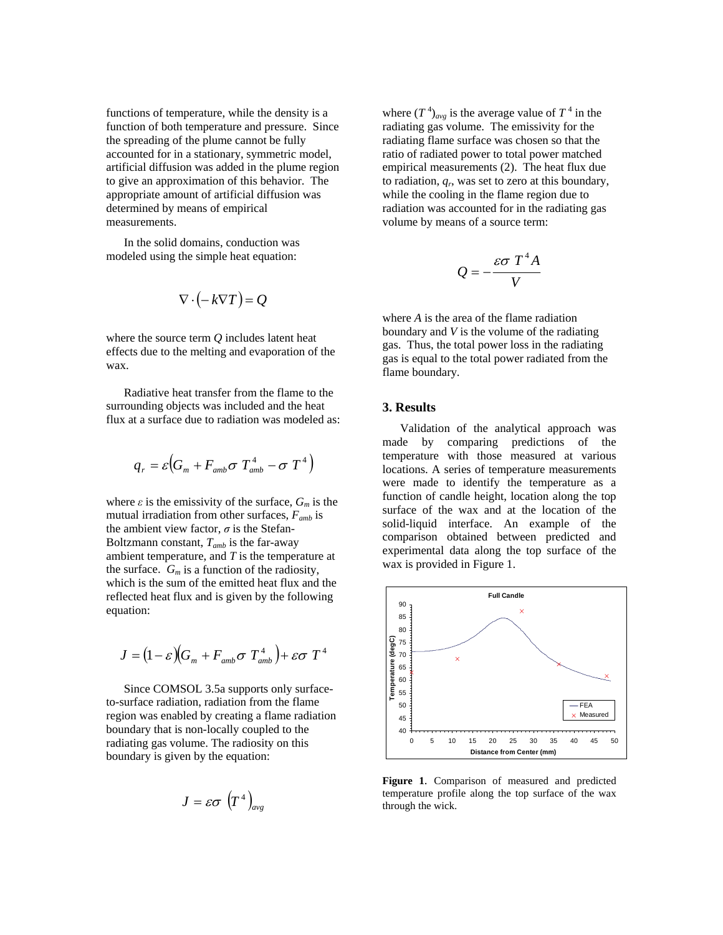functions of temperature, while the density is a function of both temperature and pressure. Since the spreading of the plume cannot be fully accounted for in a stationary, symmetric model, artificial diffusion was added in the plume region to give an approximation of this behavior. The appropriate amount of artificial diffusion was determined by means of empirical measurements.

In the solid domains, conduction was modeled using the simple heat equation:

$$
\nabla \cdot (-k\nabla T) = Q
$$

where the source term *Q* includes latent heat effects due to the melting and evaporation of the wax.

Radiative heat transfer from the flame to the surrounding objects was included and the heat flux at a surface due to radiation was modeled as:

$$
q_r = \varepsilon \Big( G_m + F_{amb} \sigma T_{amb}^4 - \sigma T^4 \Big)
$$

where  $\varepsilon$  is the emissivity of the surface,  $G_m$  is the mutual irradiation from other surfaces,  $F_{amb}$  is the ambient view factor,  $\sigma$  is the Stefan-Boltzmann constant, *Tamb* is the far-away ambient temperature, and *T* is the temperature at the surface.  $G_m$  is a function of the radiosity, which is the sum of the emitted heat flux and the reflected heat flux and is given by the following equation:

$$
J = (1 - \varepsilon)(G_m + F_{amb} \sigma T_{amb}^4) + \varepsilon \sigma T^4
$$

Since COMSOL 3.5a supports only surfaceto-surface radiation, radiation from the flame region was enabled by creating a flame radiation boundary that is non-locally coupled to the radiating gas volume. The radiosity on this boundary is given by the equation:

$$
J=\varepsilon\sigma\,\left(T^4\right)_{avg}
$$

where  $(T^4)_{avg}$  is the average value of  $T^4$  in the radiating gas volume. The emissivity for the radiating flame surface was chosen so that the ratio of radiated power to total power matched empirical measurements (2). The heat flux due to radiation,  $q_r$ , was set to zero at this boundary, while the cooling in the flame region due to radiation was accounted for in the radiating gas volume by means of a source term:

$$
Q = -\frac{\varepsilon \sigma T^4 A}{V}
$$

where *A* is the area of the flame radiation boundary and *V* is the volume of the radiating gas. Thus, the total power loss in the radiating gas is equal to the total power radiated from the flame boundary.

#### **3. Results**

Validation of the analytical approach was made by comparing predictions of the temperature with those measured at various locations. A series of temperature measurements were made to identify the temperature as a function of candle height, location along the top surface of the wax and at the location of the solid-liquid interface. An example of the comparison obtained between predicted and experimental data along the top surface of the wax is provided in Figure 1.



**Figure 1**. Comparison of measured and predicted temperature profile along the top surface of the wax through the wick.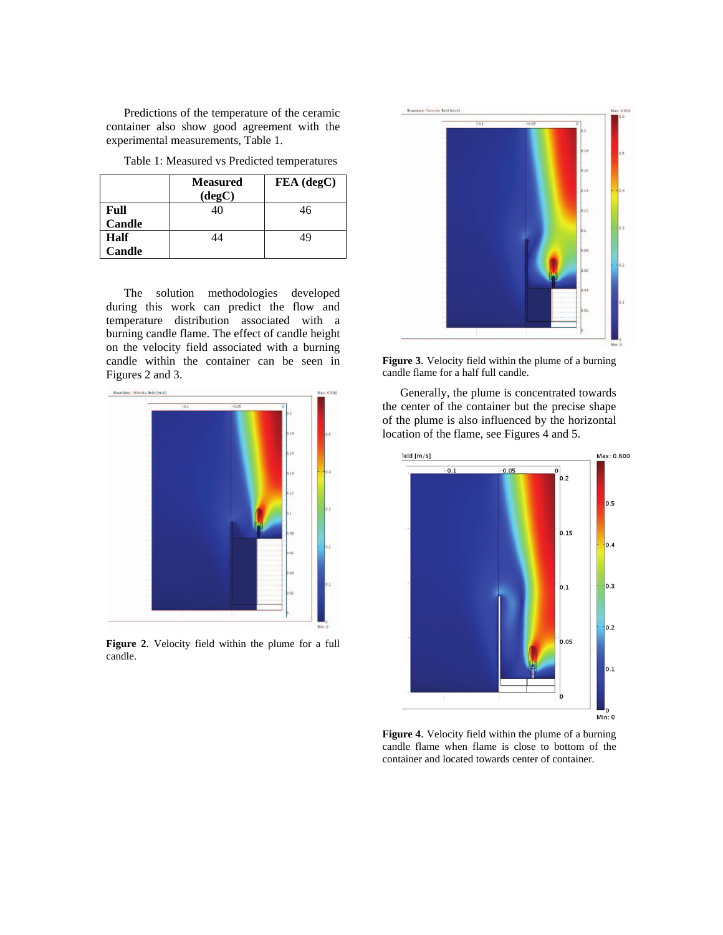Predictions of the temperature of the ceramic container also show good agreement with the experimental measurements, Table 1.

|        | Measured<br>$(\text{deg} C)$ | FEA (degC) |
|--------|------------------------------|------------|
| Full   | 40                           | 46         |
| Candle |                              |            |
| Half   |                              | 49         |
| Candle |                              |            |

Table 1: Measured vs Predicted temperatures

The solution methodologies developed during this work can predict the flow and temperature distribution associated with a burning candle flame. The effect of candle height on the velocity field associated with a burning candle within the container can be seen in Figures 2 and 3.



**Figure 2**. Velocity field within the plume for a full candle.



**Figure 3**. Velocity field within the plume of a burning candle flame for a half full candle.

Generally, the plume is concentrated towards the center of the container but the precise shape of the plume is also influenced by the horizontal location of the flame, see Figures 4 and 5.



**Figure 4**. Velocity field within the plume of a burning candle flame when flame is close to bottom of the container and located towards center of container.